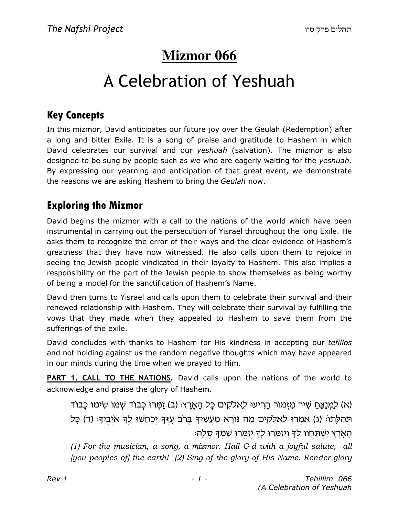# **Mizmor 066**

# A Celebration of Yeshuah

### Key Concepts

In this mizmor, David anticipates our future joy over the Geulah (Redemption) after a long and bitter Exile. It is a song of praise and gratitude to Hashem in which David celebrates our survival and our yeshuah (salvation). The mizmor is also designed to be sung by people such as we who are eagerly waiting for the yeshuah. By expressing our yearning and anticipation of that great event, we demonstrate the reasons we are asking Hashem to bring the Geulah now.

### Exploring the Mizmor

David begins the mizmor with a call to the nations of the world which have been instrumental in carrying out the persecution of Yisrael throughout the long Exile. He asks them to recognize the error of their ways and the clear evidence of Hashem's greatness that they have now witnessed. He also calls upon them to rejoice in seeing the Jewish people vindicated in their loyalty to Hashem. This also implies a responsibility on the part of the Jewish people to show themselves as being worthy of being a model for the sanctification of Hashem's Name.

David then turns to Yisrael and calls upon them to celebrate their survival and their renewed relationship with Hashem. They will celebrate their survival by fulfilling the vows that they made when they appealed to Hashem to save them from the sufferings of the exile.

David concludes with thanks to Hashem for His kindness in accepting our *tefillos* and not holding against us the random negative thoughts which may have appeared in our minds during the time when we prayed to Him.

PART 1. CALL TO THE NATIONS. David calls upon the nations of the world to acknowledge and praise the glory of Hashem.

(א) לַמְנַצֵּחַ שִׁיר מִזְמוֹר הָרִיעוּ לֵאלֹקִים כָּל הָאָרֶץ: (ב) זַמְּרוּ כִבוֹד שָׁמוֹ שִׂימוּ כַבוֹד תְּהָלֶתוֹּ (ג) אִמְרוּ לֵאלֹקִים מַה נּוֹרֵא מַעֲשֶׂיךָ בְּרֹב עָזֶךְ יִכְחֲשׁוּ לִךְ אֹיְבֵיךְּ (ד) כַּל הַאֲרֵץ יִשְׁתַּחֲווּ לַדְּ וְיַזַּמְרוּ לַדְּ יְזַמְרוּ שָׁמְדָּ סֶלַהּ

(1) For the musician, a song, a mizmor. Hail G-d with a joyful salute, all [you peoples of] the earth! (2) Sing of the glory of His Name. Render glory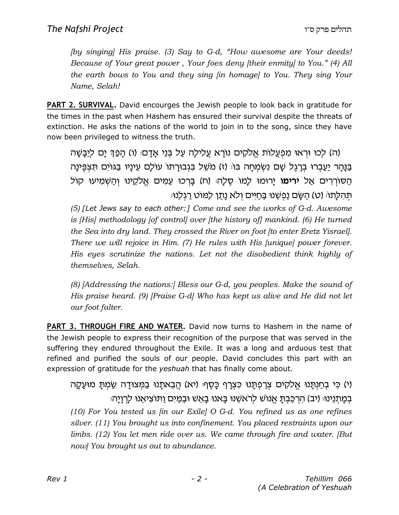[by singing] His praise. (3) Say to G-d, "How awesome are Your deeds! Because of Your great power , Your foes deny [their enmity] to You." (4) All the earth bows to You and they sing [in homage] to You. They sing Your Name, Selah!

**PART 2. SURVIVAL.** David encourges the Jewish people to look back in gratitude for the times in the past when Hashem has ensured their survival despite the threats of extinction. He asks the nations of the world to join in to the song, since they have now been privileged to witness the truth.

(ה) לְכוּ וּרְאוּ מִפְעֵלוֹת אֱלֹקִים נוֹרָא עֲלִילַה עַל בְּנֵי אֲדָם (ו) הַפַּךְ יָם לִיַבָּשָׁה בַּנָּהַר יַעֲבְרוּ בִרָגֶל שָׁם נְשָׂמְחָה בּוּ (ז) מֹשֵׁל בִּגְבוּרָתוֹ עוֹלָם עֵינַיו בַּגּוֹיִם תִּצְפֵּינַה הַסוֹרְרִים אֲל **ירימו** יַרוּמוּ לַמוֹ סֶלַה: (ח) בַּרְכוּ עֲמִים אֱלֹקֱינוּ וְהַשְׁמִיעוּ קוֹל ׁתְּהִלַּתוֹּ (ט) הַשַּׂם נַפְשֶׁנוּ בַּחַיִּים וְלֹא נַתַן לַמּוֹט רַגְלְנוּּ

(5) [Let Jews say to each other:] Come and see the works of G-d. Awesome is [His] methodology [of control] over [the history of] mankind. (6) He turned the Sea into dry land. They crossed the River on foot [to enter Eretz Yisrael]. There we will rejoice in Him. (7) He rules with His [unique] power forever. His eyes scrutinize the nations. Let not the disobedient think highly of themselves, Selah.

(8) [Addressing the nations:] Bless our G-d, you peoples. Make the sound of His praise heard. (9) [Praise G-d] Who has kept us alive and He did not let our foot falter.

PART 3. THROUGH FIRE AND WATER. David now turns to Hashem in the name of the Jewish people to express their recognition of the purpose that was served in the suffering they endured throughout the Exile. It was a long and arduous test that refined and purified the souls of our people. David concludes this part with an expression of gratitude for the *yeshuah* that has finally come about.

(י) כִּי בְחַנְתַּנוּ אֱלֹקִים צְרַפְתָּנוּ כִּצְרָף כָּסֵף: (יא) הֲבֵאתָנוּ בַמְּצוּדָה שַׂמִתָּ מוּעֲקָה בְמַתְנֵינוּּ (יִב) הַרְכָּבְתַּ אֱנוֹשׁ לְרֹאשֶׁנוּ בַּאנוּ בָאֵשׁ וּבַמַּיִם וַתּוֹצְיאֵנוּ לַרְוַיַהּ (10) For You tested us  $\lim_{h \to 0}$  our Exile] O G-d. You refined us as one refines silver. (11) You brought us into confinement. You placed restraints upon our limbs. (12) You let men ride over us. We came through fire and water. [But now] You brought us out to abundance.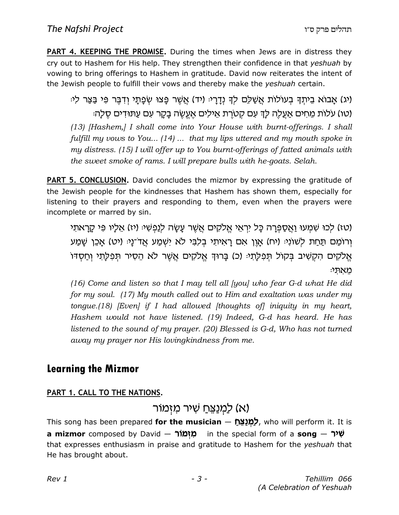PART 4. KEEPING THE PROMISE. During the times when Jews are in distress they cry out to Hashem for His help. They strengthen their confidence in that yeshuah by vowing to bring offerings to Hashem in gratitude. David now reiterates the intent of the Jewish people to fulfill their vows and thereby make the yeshuah certain.

(יג) אֲבוֹא בֵיתְךָ בְעוֹלוֹת אֲשָׁלֶם לִךְ נְדָרַיּ (יד) אֲשֶׁר פַּצוּ שְׂפָתַי וְדְבֵּר פִּי בַּצַּר לִי (טו) עלות מחים אַעֲלֶה לַדְּ עִם קְטֹרֶת אֵילִים אֲעֱשֶׂה בַקַּר עִם עַתּוּדִים סֶלַה: (13) [Hashem,] I shall come into Your House with burnt-offerings. I shall fulfill my vows to You... (14) ... that my lips uttered and my mouth spoke in my distress. (15) I will offer up to You burnt-offerings of fatted animals with the sweet smoke of rams. I will prepare bulls with he-goats. Selah.

**PART 5. CONCLUSION.** David concludes the mizmor by expressing the gratitude of the Jewish people for the kindnesses that Hashem has shown them, especially for listening to their prayers and responding to them, even when the prayers were incomplete or marred by sin.

(טו) לכו שְׁמְעוּ וַאֱסַפְּרָה כָּל יִרְאֵי אֱלֹקִים אֲשֶׁר עֲשָׂה לִנַּפְשָׁיּ (יו) אֱלֹיו פִּי קַרָאתִי וְרוֹמַם תַּחַת לְשׁוֹנְיּ (יח) אֲוֶן אִם רָאִיתְי בְלְבִּי לֹא יְשָׁמַע אֲדֹ־נַיּ (יט) אֲכֵן שַׁמַע אֱלֹקִים הִקְשִׁיב בִּקוֹל תִפְלַתְיּ (כ) בַּרוּךְ אֱלֹקִים אֲשֶׁר לֹא הֵסִיר תִּפְלַתִי וְחַסְדּוֹ מאתי:

(16) Come and listen so that I may tell all [you] who fear G-d what He did for my soul. (17) My mouth called out to Him and exaltation was under my tongue.(18) [Even] if I had allowed [thoughts of] iniquity in my heart, Hashem would not have listened. (19) Indeed, G-d has heard. He has listened to the sound of my prayer. (20) Blessed is G-d, Who has not turned away my prayer nor His lovingkindness from me.

### Learning the Mizmor

#### PART 1. CALL TO THE NATIONS.

### א) לַמְנַצֵּחַ שִׁיר מַזָּמוֹר).

This song has been prepared **for the musician** — לַ<mark>מְנַצֵּח Zh</mark>is song has been prepared **for the musician** a **mizmor** composed by David — מ<mark>ִזְמוֹר — i</mark>n the special form of a  $\mathbf{s}$ ong — שְׁיר that expresses enthusiasm in praise and gratitude to Hashem for the *yeshuah* that He has brought about.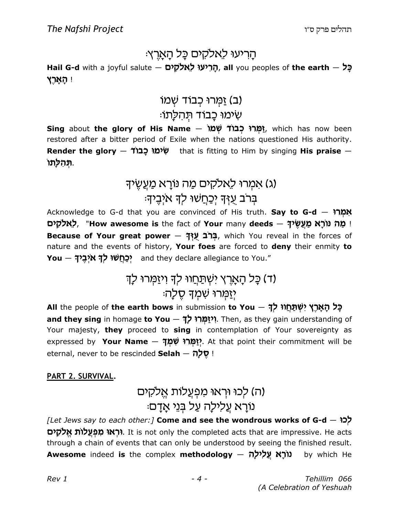# הריעו לאלקים כל הארץ:

Hail G-d with a joyful salute – הָרִיעוּ לָאלקים, all you peoples of the earth –  $\zeta$ ! הארץ

# (ב) זַמַּרוּ כְבוֹד שָׁמוֹ שִׁימוּ כַבוֹד תְּהִלַּתוֹ

Sing about the glory of His Name — יָמְרוּ כְבוֹד שְׁמוֹ Sing about the glory of His Name  $\,$ restored after a bitter period of Exile when the nations questioned His authority. Render the glory – שְׁימוּ כָבוֹד that is fitting to Him by singing His praise – ּתְּהִלְתוֹ.

# (ג) אמרוּ לאלקים מַה נוֹרַא מַעֲשֵׂיךָ בּרב עַזִּךְ יִכַּחֲשׁוּ לִךְ איִבֵיךְ:

Acknowledge to G-d that you are convinced of His truth. Say to G-d  $-$  אִמְרוּ ּלֵאלֹקִים ("How awesome is the fact of Your many deeds – לִאלֹקִים Because of Your great power – בְּרֹב עֻזְּךָ, which You reveal in the forces of nature and the events of history, Your foes are forced to deny their enmity to Y**ou — יְכַחֲשׁוּ לְדָּ א**יְ**בֶיד**ָ? and they declare allegiance to You."

# (ד) כַּל הַאֲרֵץ ישָׁתַּחֲווּ לִדְ וְיזַמְּרוּ לַדְ יִזַמְרוּ שִׁמְךָ סֵלָה

בְּל הָאָרֶץ יִשְׁתַּחֲוּוּ לְדָּ — All the people of **the earth bows** in submission **to You** and they sing in homage to You — יִיאַמְּרוּ לָךָ. Then, as they gain understanding of Your majesty, they proceed to sing in contemplation of Your sovereignty as expressed by **Your Name — יְזַמְּרוּ שִׁמְךָ?** At that point their commitment will be eternal, never to be rescinded Selah - יַ סֵלַה

#### PART 2. SURVIVAL.

# (ה) לכוּ וּרְאוּ מִפְעֲלוֹת אֱלֹקִים ּנוֹרַא עֵלִילַה עַל בְּנֵי אַדַם

 $[$ Let Jews say to each other:] Come and see the wondrous works of G-d  $-$  לְכֹוּ **וּרְאוּ מִפְעֲלוֹת אֱלֹקִים**). It is not only the completed acts that are impressive. He acts through a chain of events that can only be understood by seeing the finished result. Awesome indeed is the complex methodology  $-$  (וֹרָא עֲלִילָה by which He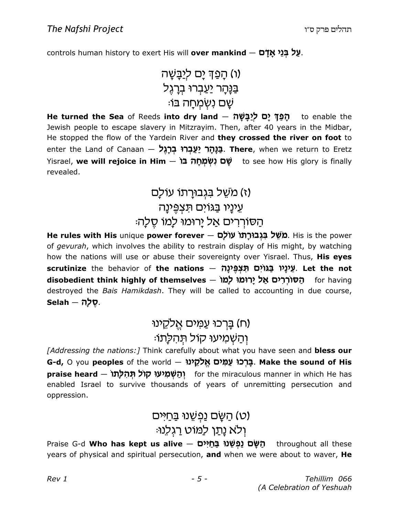controls human history to exert His will **over mankind**  $-$  **מַל בְּנֵי אָדָם**.

 v JCh
k oh Q p v (u) kd r 
c Ur 
c gh r vB C :IC v j 
n 
Gb o J

He turned the Sea of Reeds into dry land — תְּפַךְּ יָם לְיַבְּשָׁה to enable the Jewish people to escape slavery in Mitzrayim. Then, after 40 years in the Midbar, He stopped the flow of the Yardein River and they crossed the river on foot to enter the Land of Canaan — **בַנָּהָר יַעַבְרוּ בְרָגֶל. There**, when we return to Eretz Yisrael, **we will rejoice in Him — שָׁם נִשְׂמְחָ***ה* **בֿוֹ** to see how His glory is finally revealed.

# (ז) משֻל בּגְבוּרַתוֹ עוֹלַם עֵינָיו בַגוים תּצְפֵינַה הַסוֹרְרִים אַל יַרוּמוּ לַמוֹ סֵלַה

He rules with His unique power forever — מֹשֵׁל בִּגְבוּרָתוֹ עוֹלָם. His is the power of gevurah, which involves the ability to restrain display of His might, by watching how the nations will use or abuse their sovereignty over Yisrael. Thus, His eyes <mark>scrutinize</mark> the behavior of **the nations — אֵינָיו בַגּוֹיִם תִּצְפֶּינָה. Let the not** disobedient think highly of themselves – הסוררים אל ירומו למו for having destroyed the Bais Hamikdash. They will be called to accounting in due course,  $Selah - \eta \nabla$ .

# (ח) בַּרְכוּ עַמִּים אֱלִקֱינוּ וְהַשְׁמִיעוּ קוֹל תְּהִלְתוֹ:

[Addressing the nations:] Think carefully about what you have seen and bless our G-d, O you **peoples** of the world — בְּרְֽ**כוֹ עַמִּים אֱלֹקֵינוּ. Make the sound of His praise heard — יְהַשְׁמִיעוּ קוֹל תְּהִלְתוֹ**<br>for the miraculous manner in which He has enabled Israel to survive thousands of years of unremitting persecution and oppression.

### (ט) הַשֵּׂם נַפְשֶׁנוּ בַּחַיּים ולא נַתַן לַמּוט רַגְלֵנוּ:

Praise G-d **Who has kept us alive — הַשֶּׁם נַפְשֶׁנוּ בַּחֲיִּים** throughout all these years of physical and spiritual persecution, and when we were about to waver, He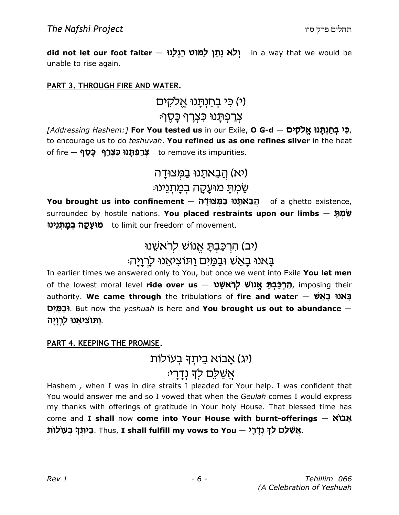did not let our foot falter – יְלֹא נָתַּן לַמּוֹט רַגְלֵנוּ in a way that we would be unable to rise again.

#### PART 3. THROUGH FIRE AND WATER.

(י) כי בחנתָנוּ אֵלקים ּ צִרַפְתַּנוּ כִּצְרַף כַּסֵף*:* 

(בִּי בְחַנְתָּנוּ אֱלֹקִים — Addressing Hashem:] **For You tested us** in our Exile, **O G-d,** to encourage us to do teshuvah. You refined us as one refines silver in the heat of fire — **גְרַמְּנוּ כִּצְרָף ۖ כָּסֶף**<br>to remove its impurities.

> (יא) הַבָאתַנוּ בַמִּצוּדַה ּשַׁמְתַּ מוּעֲקָה בְּמַתְנֵינוּ:

Y**ou brought us into confinement — הֲבֵאתְנוּ בַמְּצוּדָה** of a ghetto existence, surrounded by hostile nations. **You placed restraints upon our limbs**  $-$  **שָׁמְתָּ** מ**וּעָקָה בְמַתְנֵינוּ** to limit our freedom of movement.

### (יב) הרְכַּבְתַ אֱנוֹשׁ לְרֹאשֶׁנוּ באנו באש ובמים ותוציאנו לרויה:

In earlier times we answered only to You, but once we went into Exile You let men of the lowest moral level **ride over us — הִרְכַּבְתָּ אֱנוֹשׁ לְרֹאשֵׁנוּ,** imposing their authority. We came through the tribulations of fire and water  $-$  עֲאנוּ בָאֵשׁ oh NcU. But now the yeshuah is here and You brought us out to abundance — וַתּוֹצִיאֵנוּ לַרְוָיָה.

#### PART 4. KEEPING THE PROMISE.

(יג) אָבוֹא בֵיתִךְ בְעוֹלוֹת

### אַשַׁלָם לִדְּ נְדַרִי<sub>ָ</sub>

Hashem , when I was in dire straits I pleaded for Your help. I was confident that You would answer me and so I vowed that when the Geulah comes I would express my thanks with offerings of gratitude in Your holy House. That blessed time has come and I shall now come into Your House with burnt-offerings  $\aleph$ בֵּיתְךָ נְדָלִי — Thus, **I shall fulfill my vows to You .בֵיתְךָ בְעוֹלוֹת**.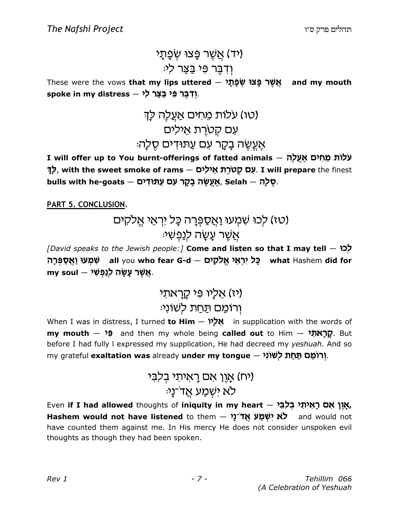# יד) אַשֶׁר פַּצוּ שָׂפַּתֵי) ֿוְדָבֵּר פִּי בַּצַר לִי

These were the vows **that my lips uttered — אֲשֶׁר פָּצוּ שְׂפָתָ***ר* **and my mouth** spoke in my distress – יִוְדְבֶר פִּי בַּצַּר לִי

# (טו) עלות מחים אעלה לד עם קטרת אילים אעשה בקר עם עתודים סלה:

I will offer up to You burnt-offerings of fatted animals – עלות מחים אַעֲלַה לֶךְ, with the sweet smoke of rams  $-$  שְׁלָרָת אֵילִים. I will prepare the finest bulls with he-goats — אֲעֱשֶׂה בָקָר עִם עַתּוּדִים, Selah — שֵׁלָה.

PART 5. CONCLUSION.

# (טז) לְכוּ שְׁמָעוּ וַאֲסַפְּרָה כָּל יִרְאֵי אֵלקים ּאֲשֶׁר עָשָׂה לִנַּפִּשִׁי

 $[$ David speaks to the Jewish people:] Come and listen so that I may tell  $-$  לְכוֹ בָּל יִרְאֵי אֱלֹקָים — all you **who fear G-d <sup>שׁ</sup>מְעוּ וַאֲסַפְּרָה** — what Hashem **did for** my soul – אֲשֶׁר עָשָׂה לְנַפְשִׁי

# ויז) אליו פי קראתי וְרוֹמֵם תַּחַת לְשׁוֹנִ<sup>נ</sup>ּ:

When I was in distress, I turned to Him  $-$  אֱלַ $\gamma$  in supplication with the words of my mouth  $\theta$  and then my whole being called out to Him  $\theta$ . But before I had fully I expressed my supplication, He had decreed my yeshuah. And so my grateful **exaltation was** already **under my tongue – יְרוֹמֵם תַּחַת לְשׁוֹנִי**,

# יח) אָוֵן אם רָאיתי בלבי ּלֹא ישָׁמַע אֲד־נַי

Even **if I had allowed** thoughts of **iniquity in my heart – אָ**יֶ**ן אִם רָאִיתִי בְל**ַבִּי, Hashem would not have listened to them – לֹא יִשְׁמַע אֲדֹ נַי and would not have counted them against me. In His mercy He does not consider unspoken evil thoughts as though they had been spoken.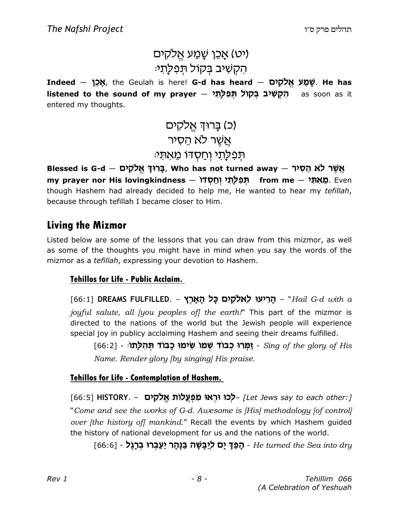## יט) אַכֵּן שַׁמַע אַלקים) הקשיב בקול תפלתי:

Indeed — שְׁמַע אֱלֹקִים — Indeed — שָׁמַע אֱלֹקִים. He has heard l**istened to the sound of my prayer – הִקְשִׁיב בְּקוֹל תְּפִלְתִ***י* **as soon as it** entered my thoughts.

> (כ) בַרוּךְ אֵלקים אֲשֶׁר לֹא הֵסְיר ּהִפִּלְתי וְחַסְדוֹ מֵאתִי

Blessed is G-d — פֵרוּךְ אֱלֹקִים, Who has not turned away — אֲשֶׁר לֹא הֶסְיר my prayer nor His lovingkindness — תְּפִלְתֵּי וְחַסְדֹּוּ) from me — מֵאִתְּי though Hashem had already decided to help me, He wanted to hear my tefillah, because through tefillah I became closer to Him.

### Living the Mizmor

Listed below are some of the lessons that you can draw from this mizmor, as well as some of the thoughts you might have in mind when you say the words of the mizmor as a tefillah, expressing your devotion to Hashem.

#### Tehillos for Life - Public Acclaim.

[66:1] DREAMS FULFILLED. – הַרִיעוּ לֵאלֹקִים כָּל הָאֲרֵץ (66:1 joyful salute, all (you peoples of) the earth!" This part of the mizmor is directed to the nations of the world but the Jewish people will experience special joy in publicy acclaiming Hashem and seeing their dreams fulfilled.

[66:2] - יַמְרוּ כְבוֹד שְמוּ שִימוּ כָבוֹד תְּהִלְתוּ [66:2] - Sing of the glory of His Name. Render glory [by singing] His praise.

#### Tehillos for Life - Contemplation of Hashem.

[/Let Jews say to each other:] –**לְכוּ וּרְאוּ מִפְעֲלוֹת אֱלֹקִים – [**66:5] HISTORY. – "Come and see the works of G-d. Awesome is [His] methodology [of control] over [the history of] mankind." Recall the events by which Hashem quided the history of national development for us and the nations of the world.

ַ רְפַ**ּךְ יָם לְיַבָּשֶׁה בַּנָּהָר יַעַבְרוּ בְרָגֶל (1**66:6) **[G6:6]** - הַפַּךָ יָם לְיַבָּשָׂה - He turned the Sea into dry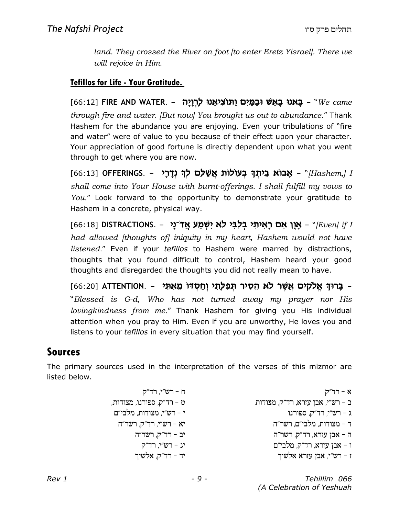land. They crossed the River on foot [to enter Eretz Yisrael]. There we will rejoice in Him.

#### Tefillos for Life - Your Gratitude.

[66:12] FIRE AND WATER. - רְאֲנוּ בְאֵשׁ וּבַמַּיִם וַתּוֹצִיאֵנוּ לְרְזָיָה (G6:12 through fire and water. [But now] You brought us out to abundance." Thank Hashem for the abundance you are enjoying. Even your tribulations of "fire and water" were of value to you because of their effect upon your character. Your appreciation of good fortune is directly dependent upon what you went through to get where you are now.

[66:13] OFFERINGS. - **אָבוֹא בֵיתְךָ בְעוֹלוֹת אֲשַׁלֵּם לְךָ נְדָרָי** shall come into Your House with burnt-offerings. I shall fulfill my vows to You." Look forward to the opportunity to demonstrate your gratitude to Hashem in a concrete, physical way.

 $[66:18]$  DISTRACTIONS. – אָוֶן אִם רָאִיתִי בְּלִבִּי לֹא יִשְׁמַע אֲדֹ־נָי (Even] if I had allowed *[thoughts of] iniquity in my heart, Hashem would not have* listened." Even if your tefillos to Hashem were marred by distractions, thoughts that you found difficult to control, Hashem heard your good thoughts and disregarded the thoughts you did not really mean to have.

ַ בָּרוּדְ אֱלֹקִים אֲשֶׁר לֹא הֵסִיר תְּפִלְתִי וְחַסְדֹּו מֵאִתִּי – .ATTENTION [66:20] "Blessed is G-d, Who has not turned away my prayer nor His lovingkindness from me." Thank Hashem for giving you His individual attention when you pray to Him. Even if you are unworthy, He loves you and listens to your *tefillos* in every situation that you may find yourself.

### Sources

The primary sources used in the interpretation of the verses of this mizmor are listed below.

| ח - רש״י, רד״ק                       | א - רד״ק                         |
|--------------------------------------|----------------------------------|
| ט - רד"ק, ספורנו, מצודות,            | ב – רש"י, אבן עזרא, רד"ק, מצודות |
| י - רש״י, מצודות, מלבי״ם             | $t - T \equiv r$ רש"י, הר        |
| $\mathcal{C}$ יא – רש"י, רד"ק, רשר"ה | ד – מצודות, מלבי״ם, רשר״ה        |
| יב - רד"ק, רשר"ה                     | ה - אבן עזרא, רד"ק, רשר"ה        |
| יג - רש"י, רד"ק                      | ו - אבן עזרא, רד״ק, מלבי״ם       |
| יד - רד"ק, אלשיך                     | ז - רש"י, אבן עזרא אלשיך         |

Rev 1 - 9 - Tehillim 066 (A Celebration of Yeshuah